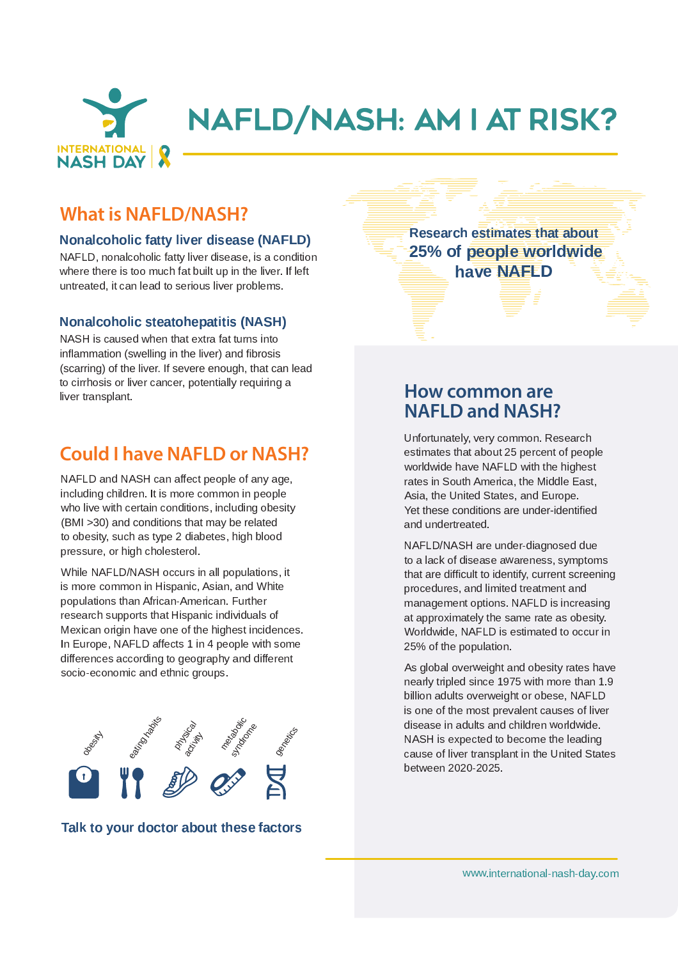

## **What is NAFLD/NASH?**

#### <sup>9</sup> : <sup>4</sup> <sup>4</sup> <sup>8</sup> <sup>6</sup> <sup>4</sup> ; <sup>7</sup> - - <sup>&</sup>lt; <sup>9</sup> <sup>=</sup> <sup>&</sup>gt; ? @ <sup>A</sup>

NAFLD, nonalcoholic fatty liver disease, is a condition كما كالمحمد المصاديم في من دولات المصادق المحمد المصادق المساحة المستقادة untreated, it can lead to serious liver problems.

#### <sup>9</sup> : <sup>4</sup> <sup>4</sup> - ^ - <sup>&</sup>lt; <sup>9</sup> <sup>=</sup> \_ ` <sup>A</sup>

 $B \cap B \cap B$  is a concerned in the set that contain fact to use  $A$  is the  $B$ inflammation (swelling in the liver) and fibrosis (scarring) of the liver. If severe enough, that can lead to cirrhosis or liver cancer, potentially requiring a liver transplant

## **Could I have NAFLD or NASH?**

NAFLD and NASH can affect people of any age, including children. It is more common in people والمساح ومساويا ومن المساولة المسموم والمسموم والأسبب ويبتل ومارير (BMI >30) and conditions that may be related to obesity, such as type 2 diabetes, high blood pressure, or high cholesterol.

While NAFLD/NASH occurs in all populations, it is more common in Hispanic, Asian, and White populations than African-American. Further research supports that Hispanic individuals of Mexican origin have one of the highest incidences. ] <sup>H</sup> <sup>l</sup> <sup>Y</sup> <sup>T</sup> <sup>I</sup> [ <sup>S</sup> <sup>G</sup> <sup>B</sup> <sup>C</sup> <sup>D</sup> <sup>E</sup> <sup>F</sup> <sup>J</sup> <sup>O</sup> <sup>O</sup> <sup>S</sup> <sup>L</sup> <sup>P</sup> <sup>V</sup> <sup>q</sup> <sup>N</sup> <sup>H</sup> <sup>u</sup> [ <sup>S</sup> <sup>I</sup> [ <sup>K</sup> <sup>S</sup> <sup>W</sup> N P <sup>M</sup> <sup>V</sup> <sup>I</sup> <sup>X</sup> <sup>S</sup> differences according to geography and different socio-economic and ethnic groups.



#### $-$  10  $-$  3  $-$  4  $-$  5  $-$  5  $-$  5  $-$  5  $-$  5  $-$  5  $-$  5  $-$  5  $-$  5  $-$  5  $-$  5  $-$  5  $-$  5  $-$  5  $-$  5  $-$  5  $-$  5  $-$  5  $-$  5  $-$  5  $-$  5  $-$  5  $-$  5  $-$  5  $-$  5  $-$  5  $-$  5  $-$  5  $-$  5  $-$  5  $-$  5  $-$  5  $-$  5  $-$

 - - -  25% of people worldwide . <del>. . . . . . . . .</del>

### **How common are NAFLD and NASH?**

Unfortunately, very common. Research estimates that about 25 percent of people  $\mathbf{u}$  is a set of  $\mathbf{v}$  and  $\mathbf{v}$  and  $\mathbf{v}$  and  $\mathbf{v}$  and  $\mathbf{v}$  and  $\mathbf{v}$  and  $\mathbf{v}$  and  $\mathbf{v}$  and  $\mathbf{v}$  and  $\mathbf{v}$  and  $\mathbf{v}$  and  $\mathbf{v}$  and  $\mathbf{v}$  and  $\mathbf{v}$  and  $\mathbf{v}$  and  $\mathbf{$ rates in South America, the Middle East. Asia, the United States, and Europe. Yet these conditions are under-identified and undertreated.

NAFLD/NASH are under-diagnosed due ta a laale af diagaan awweynan aan awwentawa that are difficult to identify, current screening procedures, and limited treatment and management options. NAFLD is increasing at approximately the same rate as obesity. <sup>o</sup> <sup>I</sup> <sup>T</sup> <sup>K</sup> <sup>U</sup> <sup>W</sup> <sup>N</sup> <sup>U</sup> <sup>S</sup> <sup>G</sup> <sup>B</sup> <sup>C</sup> <sup>D</sup> <sup>E</sup> <sup>F</sup> N V <sup>S</sup> <sup>V</sup> <sup>P</sup> <sup>N</sup> <sup>X</sup> <sup>J</sup> <sup>P</sup> <sup>S</sup> <sup>U</sup> <sup>P</sup> <sup>I</sup> <sup>I</sup> <sup>L</sup> <sup>L</sup> <sup>Y</sup> <sup>T</sup> <sup>N</sup> <sup>H</sup> 25% of the population.

A e elebel ou curreight en debesitur unten heur m s s uh t tuin l s di s in s s 107E i title ins s us the s n 1.  $\mathsf{hillian}$  adulta avanuaight ar aboaa.  $\mathsf{NATL}$ is one of the most prevalent causes of liver حامنين اماسمين بمجموله انطم المعرم حطابيام مرعبا حججج حناه NASH is expected to become the leading cause of liver transplant in the United States  $k \rightarrow \cdots \rightarrow \infty$  and and  $\Gamma$ 

<sup>W</sup> <sup>W</sup> <sup>W</sup> \ <sup>N</sup> <sup>H</sup> <sup>P</sup> <sup>S</sup> <sup>T</sup> <sup>H</sup> <sup>J</sup> <sup>P</sup> <sup>N</sup> <sup>I</sup> <sup>H</sup> <sup>J</sup> <sup>K</sup> <sup>f</sup> <sup>H</sup> <sup>J</sup> <sup>V</sup> <sup>M</sup> <sup>f</sup> <sup>U</sup> <sup>J</sup> <sup>Q</sup> \ <sup>L</sup> <sup>I</sup> <sup>X</sup>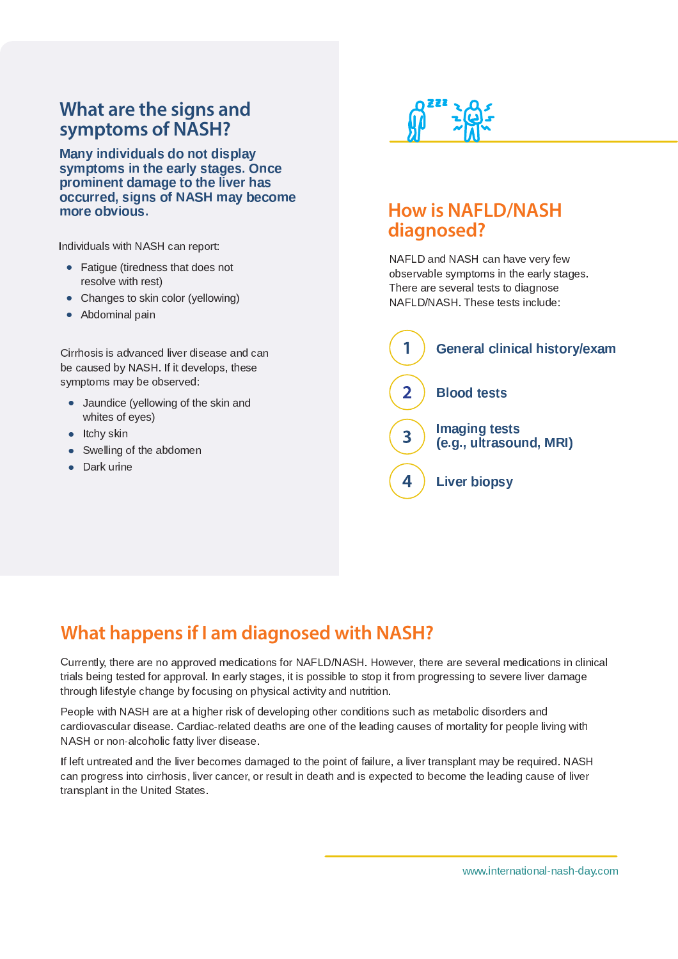# **What are the signs and symptoms of NASH?**

<sup>z</sup> : <sup>6</sup> : <sup>7</sup> ; <sup>7</sup> <sup>4</sup> - <sup>7</sup> : <sup>7</sup> - ^ <sup>4</sup> <sup>6</sup> - <sup>6</sup> ^ - : <sup>4</sup> <sup>6</sup> - { - <sup>|</sup> } : ^ : : <sup>7</sup> { <sup>4</sup> ; - <sup>7</sup> <sup>~</sup> - { : - <sup>8</sup> <sup>9</sup> <sup>=</sup> \_ ` <sup>6</sup> ;  - <sup>|</sup>

 $\mathsf{H}$  and  $\mathsf{H}$  is denoted by  $\mathsf{H}$  and  $\mathsf{H}$   $\mathsf{H}$   $\mathsf{H}$   $\mathsf{H}$   $\mathsf{H}$   $\mathsf{H}$   $\mathsf{H}$  . The set of  $\mathsf{H}$ 

- Fatigue (tiredness that does not resolve with rest)
- Changes to skin color (yellowing)
- تنصص الصور تنصيص المطاه

y and the second second the second second second second second second second second second second second second be caused by NASH. If it develops, these symptoms may be observed:

- Jaundice (yellowing of the skin and whites of eyes)
- a Hobirobi
- a Curallina ef tha abalamas
- a Douburn



## **How is NAFLD/NASH diagnosed?**

 $B \cup B \sqsubset D$  and  $B \cap C \sqcup A$  are leaven vanished. observable symptoms in the early stages. There are several tests to diagnose NAFLD/NASH. These tests include:



# **What happens if I am diagnosed with NASH?**

Ques etter the sex personal explication for NATI DAIA OI House on the sex personal explication in plinter trials being tested for approval. In early stages, it is possible to stop it from progressing to severe liver damage through lifestyle change by focusing on physical activity and nutrition.

Deen la with NACH ens et e hinhen violed devoloping ethen conditions avak en production de la discudence en sandiar pagardan diagoga - Candiagogal dagba ang ang at tha lagdina agrega at manaliketan pagalal lining reik NASH or non-alcoholic fatty liver disease.

If left untreated and the liver becomes damaged to the point of failure, a liver transplant may be required. NASH can progress into cirrhosis, liver cancer, or result in death and is expected to become the leading cause of liver transplant in the United States.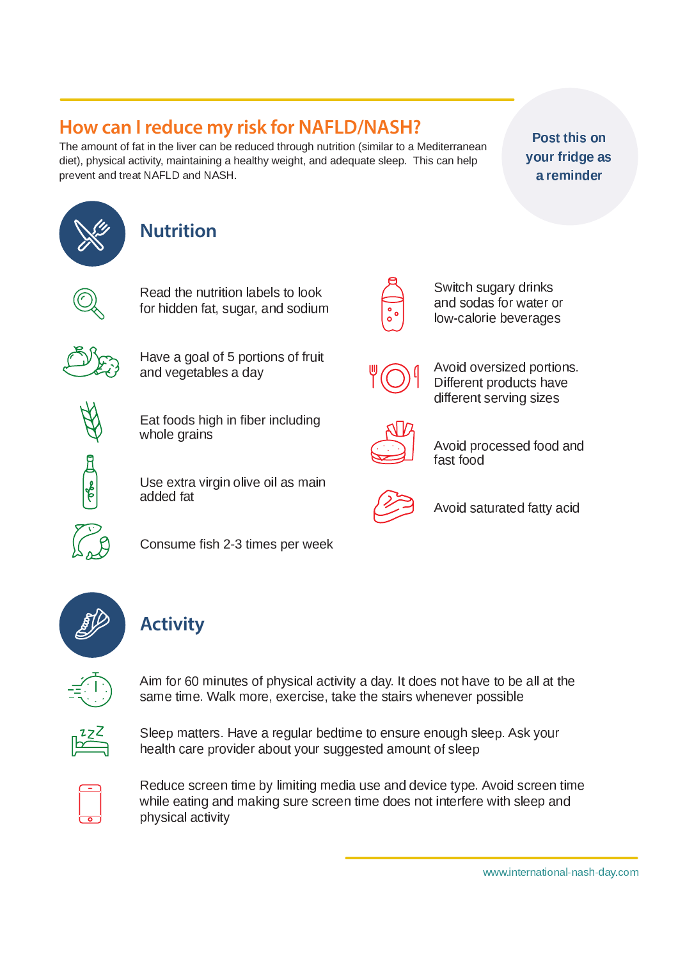# How can I reduce my risk for NAFLD/NASH?

The amount of fat in the liver can be reduced through nutrition (similar to a Mediterranean diet), physical activity, maintaining a healthy weight, and adequate sleep. This can help prevent and treat NAFLD and NASH.

Post this on your fridge as a reminder







Read the nutrition labels to look for hidden fat, sugar, and sodium



Have a goal of 5 portions of fruit and vegetables a day

Eat foods high in fiber including whole grains

Use extra virgin olive oil as main added fat



Avoid oversized portions. Different products have different serving sizes

Switch sugary drinks

and sodas for water or

low-calorie beverages



Avoid processed food and fast food



Avoid saturated fatty acid



Consume fish 2-3 times per week



# **Activity**



Aim for 60 minutes of physical activity a day. It does not have to be all at the same time. Walk more, exercise, take the stairs whenever possible



Sleep matters. Have a regular bedtime to ensure enough sleep. Ask your health care provider about your suggested amount of sleep



Reduce screen time by limiting media use and device type. Avoid screen time while eating and making sure screen time does not interfere with sleep and physical activity